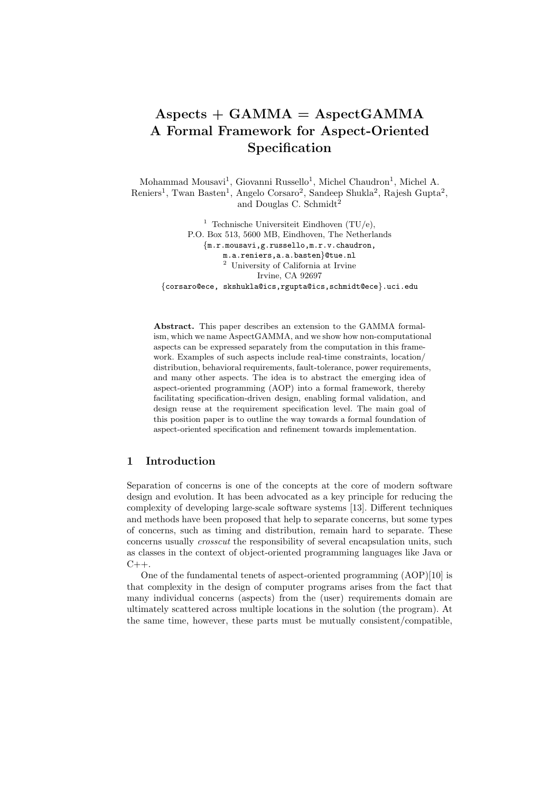# $A$ spects +  $GAMMA = AspectGAMMA$ **A Formal Framework for Aspect-Oriented Specification**

Mohammad Mousavi<sup>1</sup>, Giovanni Russello<sup>1</sup>, Michel Chaudron<sup>1</sup>, Michel A. Reniers<sup>1</sup>, Twan Basten<sup>1</sup>, Angelo Corsaro<sup>2</sup>, Sandeep Shukla<sup>2</sup>, Rajesh Gupta<sup>2</sup>, and Douglas C. Schmidt<sup>2</sup>

<sup>1</sup> Technische Universiteit Eindhoven  $(TU/e)$ , P.O. Box 513, 5600 MB, Eindhoven, The Netherlands {m.r.mousavi,g.russello,m.r.v.chaudron, m.a.reniers,a.a.basten}@tue.nl <sup>2</sup> University of California at Irvine Irvine, CA 92697 {corsaro@ece, skshukla@ics,rgupta@ics,schmidt@ece}.uci.edu

**Abstract.** This paper describes an extension to the GAMMA formalism, which we name AspectGAMMA, and we show how non-computational aspects can be expressed separately from the computation in this framework. Examples of such aspects include real-time constraints, location/ distribution, behavioral requirements, fault-tolerance, power requirements, and many other aspects. The idea is to abstract the emerging idea of aspect-oriented programming (AOP) into a formal framework, thereby facilitating specification-driven design, enabling formal validation, and design reuse at the requirement specification level. The main goal of this position paper is to outline the way towards a formal foundation of aspect-oriented specification and refinement towards implementation.

# **1 Introduction**

Separation of concerns is one of the concepts at the core of modern software design and evolution. It has been advocated as a key principle for reducing the complexity of developing large-scale software systems [13]. Different techniques and methods have been proposed that help to separate concerns, but some types of concerns, such as timing and distribution, remain hard to separate. These concerns usually *crosscut* the responsibility of several encapsulation units, such as classes in the context of object-oriented programming languages like Java or  $C_{++}$ .

One of the fundamental tenets of aspect-oriented programming (AOP)[10] is that complexity in the design of computer programs arises from the fact that many individual concerns (aspects) from the (user) requirements domain are ultimately scattered across multiple locations in the solution (the program). At the same time, however, these parts must be mutually consistent/compatible,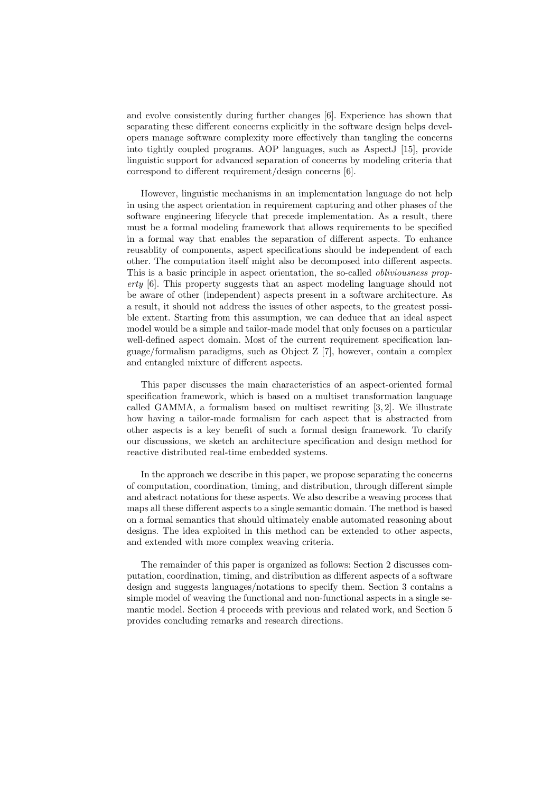and evolve consistently during further changes [6]. Experience has shown that separating these different concerns explicitly in the software design helps developers manage software complexity more effectively than tangling the concerns into tightly coupled programs. AOP languages, such as AspectJ [15], provide linguistic support for advanced separation of concerns by modeling criteria that correspond to different requirement/design concerns [6].

However, linguistic mechanisms in an implementation language do not help in using the aspect orientation in requirement capturing and other phases of the software engineering lifecycle that precede implementation. As a result, there must be a formal modeling framework that allows requirements to be specified in a formal way that enables the separation of different aspects. To enhance reusablity of components, aspect specifications should be independent of each other. The computation itself might also be decomposed into different aspects. This is a basic principle in aspect orientation, the so-called *obliviousness property* [6]. This property suggests that an aspect modeling language should not be aware of other (independent) aspects present in a software architecture. As a result, it should not address the issues of other aspects, to the greatest possible extent. Starting from this assumption, we can deduce that an ideal aspect model would be a simple and tailor-made model that only focuses on a particular well-defined aspect domain. Most of the current requirement specification language/formalism paradigms, such as Object Z [7], however, contain a complex and entangled mixture of different aspects.

This paper discusses the main characteristics of an aspect-oriented formal specification framework, which is based on a multiset transformation language called GAMMA, a formalism based on multiset rewriting [3, 2]. We illustrate how having a tailor-made formalism for each aspect that is abstracted from other aspects is a key benefit of such a formal design framework. To clarify our discussions, we sketch an architecture specification and design method for reactive distributed real-time embedded systems.

In the approach we describe in this paper, we propose separating the concerns of computation, coordination, timing, and distribution, through different simple and abstract notations for these aspects. We also describe a weaving process that maps all these different aspects to a single semantic domain. The method is based on a formal semantics that should ultimately enable automated reasoning about designs. The idea exploited in this method can be extended to other aspects, and extended with more complex weaving criteria.

The remainder of this paper is organized as follows: Section 2 discusses computation, coordination, timing, and distribution as different aspects of a software design and suggests languages/notations to specify them. Section 3 contains a simple model of weaving the functional and non-functional aspects in a single semantic model. Section 4 proceeds with previous and related work, and Section 5 provides concluding remarks and research directions.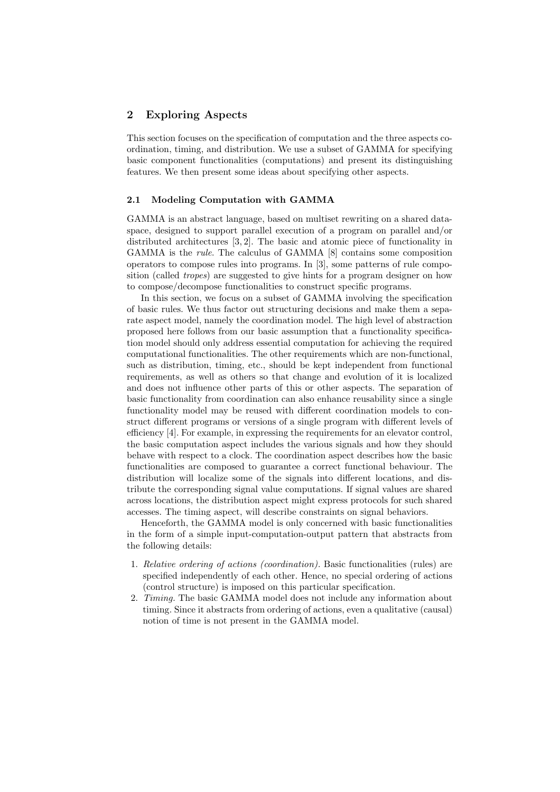## **2 Exploring Aspects**

This section focuses on the specification of computation and the three aspects coordination, timing, and distribution. We use a subset of GAMMA for specifying basic component functionalities (computations) and present its distinguishing features. We then present some ideas about specifying other aspects.

### **2.1 Modeling Computation with GAMMA**

GAMMA is an abstract language, based on multiset rewriting on a shared dataspace, designed to support parallel execution of a program on parallel and/or distributed architectures [3, 2]. The basic and atomic piece of functionality in GAMMA is the *rule*. The calculus of GAMMA [8] contains some composition operators to compose rules into programs. In [3], some patterns of rule composition (called *tropes*) are suggested to give hints for a program designer on how to compose/decompose functionalities to construct specific programs.

In this section, we focus on a subset of GAMMA involving the specification of basic rules. We thus factor out structuring decisions and make them a separate aspect model, namely the coordination model. The high level of abstraction proposed here follows from our basic assumption that a functionality specification model should only address essential computation for achieving the required computational functionalities. The other requirements which are non-functional, such as distribution, timing, etc., should be kept independent from functional requirements, as well as others so that change and evolution of it is localized and does not influence other parts of this or other aspects. The separation of basic functionality from coordination can also enhance reusability since a single functionality model may be reused with different coordination models to construct different programs or versions of a single program with different levels of efficiency [4]. For example, in expressing the requirements for an elevator control, the basic computation aspect includes the various signals and how they should behave with respect to a clock. The coordination aspect describes how the basic functionalities are composed to guarantee a correct functional behaviour. The distribution will localize some of the signals into different locations, and distribute the corresponding signal value computations. If signal values are shared across locations, the distribution aspect might express protocols for such shared accesses. The timing aspect, will describe constraints on signal behaviors.

Henceforth, the GAMMA model is only concerned with basic functionalities in the form of a simple input-computation-output pattern that abstracts from the following details:

- 1. *Relative ordering of actions (coordination).* Basic functionalities (rules) are specified independently of each other. Hence, no special ordering of actions (control structure) is imposed on this particular specification.
- 2. *Timing.* The basic GAMMA model does not include any information about timing. Since it abstracts from ordering of actions, even a qualitative (causal) notion of time is not present in the GAMMA model.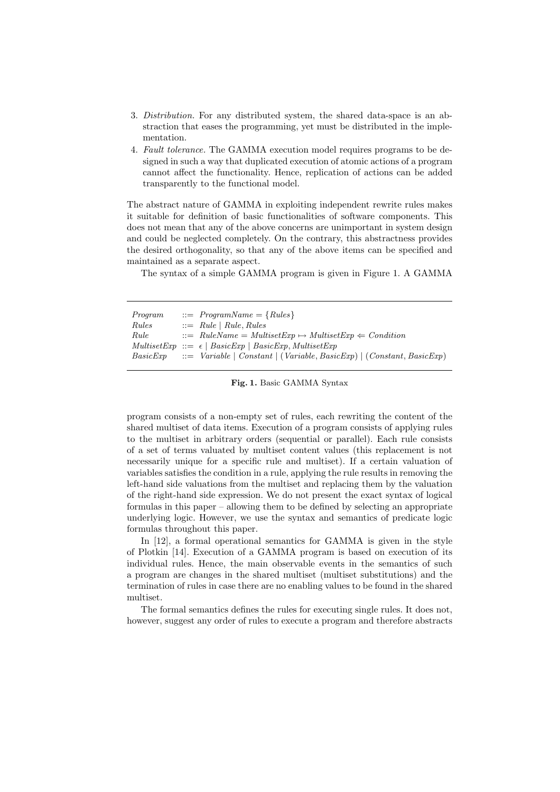- 3. *Distribution.* For any distributed system, the shared data-space is an abstraction that eases the programming, yet must be distributed in the implementation.
- 4. *Fault tolerance.* The GAMMA execution model requires programs to be designed in such a way that duplicated execution of atomic actions of a program cannot affect the functionality. Hence, replication of actions can be added transparently to the functional model.

The abstract nature of GAMMA in exploiting independent rewrite rules makes it suitable for definition of basic functionalities of software components. This does not mean that any of the above concerns are unimportant in system design and could be neglected completely. On the contrary, this abstractness provides the desired orthogonality, so that any of the above items can be specified and maintained as a separate aspect.

The syntax of a simple GAMMA program is given in Figure 1. A GAMMA

| Program | $\therefore$ ProgramName = {Rules}                                                                    |
|---------|-------------------------------------------------------------------------------------------------------|
| Rules   | $ ::=$ Rule   Rule, Rules                                                                             |
| Rule    | $\therefore$ RuleName = MultisetExp $\mapsto$ MultisetExp $\Leftarrow$ Condition                      |
|         | $MultisetExp :: = \epsilon   BasicExp   BasicExp, MultisetExp$                                        |
|         | $BasicExp \quad ::= \quad Variable \mid Constant \mid (Variable, BasicExp) \mid (Constant, BasicExp)$ |
|         |                                                                                                       |

**Fig. 1.** Basic GAMMA Syntax

program consists of a non-empty set of rules, each rewriting the content of the shared multiset of data items. Execution of a program consists of applying rules to the multiset in arbitrary orders (sequential or parallel). Each rule consists of a set of terms valuated by multiset content values (this replacement is not necessarily unique for a specific rule and multiset). If a certain valuation of variables satisfies the condition in a rule, applying the rule results in removing the left-hand side valuations from the multiset and replacing them by the valuation of the right-hand side expression. We do not present the exact syntax of logical formulas in this paper – allowing them to be defined by selecting an appropriate underlying logic. However, we use the syntax and semantics of predicate logic formulas throughout this paper.

In [12], a formal operational semantics for GAMMA is given in the style of Plotkin [14]. Execution of a GAMMA program is based on execution of its individual rules. Hence, the main observable events in the semantics of such a program are changes in the shared multiset (multiset substitutions) and the termination of rules in case there are no enabling values to be found in the shared multiset.

The formal semantics defines the rules for executing single rules. It does not, however, suggest any order of rules to execute a program and therefore abstracts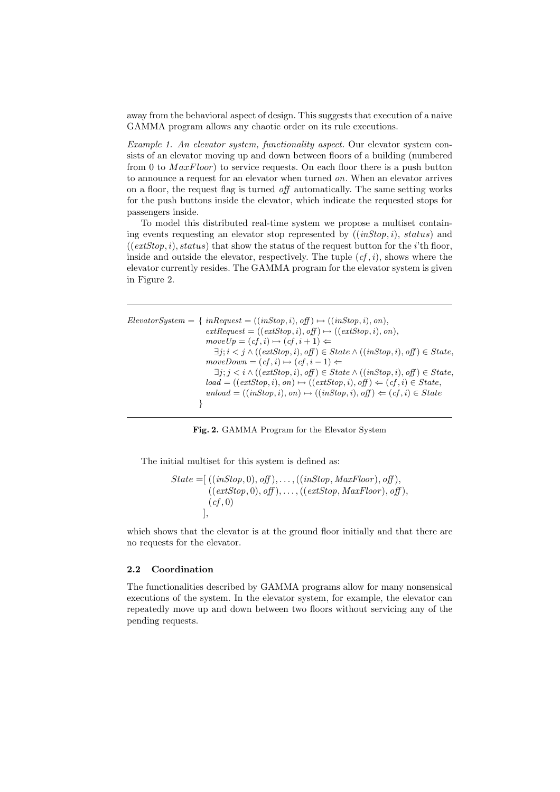away from the behavioral aspect of design. This suggests that execution of a naive GAMMA program allows any chaotic order on its rule executions.

*Example 1. An elevator system, functionality aspect.* Our elevator system consists of an elevator moving up and down between floors of a building (numbered from 0 to  $MaxFloor$ ) to service requests. On each floor there is a push button to announce a request for an elevator when turned *on*. When an elevator arrives on a floor, the request flag is turned *off* automatically. The same setting works for the push buttons inside the elevator, which indicate the requested stops for passengers inside.

To model this distributed real-time system we propose a multiset containing events requesting an elevator stop represented by ((*inStop*, i), status) and  $((extStop, i), status)$  that show the status of the request button for the *i*'th floor, inside and outside the elevator, respectively. The tuple  $(cf, i)$ , shows where the elevator currently resides. The GAMMA program for the elevator system is given in Figure 2.

```
Elevatorsystem = \{ inRequest = ((inStop, i), off) \mapsto ((inStop, i), on),extRequest = ((extStop, i), off) \mapsto ((extStop, i), on),moveUp = (cf, i) \mapsto (cf, i + 1) \Leftarrow\exists j; i < j \land ((extStop, i), off) \in State \land ((inStop, i), off) \in State,moveDown = (cf, i) \mapsto (cf, i - 1) \Leftarrow\exists j; j \leq i \land ((extStop, i), off) \in State \land ((inStop, i), off) \in State,load = ((extStop, i), on) \mapsto ((extStop, i), off) \Leftarrow (cf, i) \in State,unload = ((inStop, i), on) \mapsto ((inStop, i), off) \Leftarrow (cf, i) \in State}
```
**Fig. 2.** GAMMA Program for the Elevator System

The initial multiset for this system is defined as:

$$
State = [ ((inStop, 0), off), ..., ((inStop, MaxFloor), off),((extStop, 0), off), ..., ((extStop, MaxFloor), off),(cf, 0),
$$

which shows that the elevator is at the ground floor initially and that there are no requests for the elevator.

#### **2.2 Coordination**

The functionalities described by GAMMA programs allow for many nonsensical executions of the system. In the elevator system, for example, the elevator can repeatedly move up and down between two floors without servicing any of the pending requests.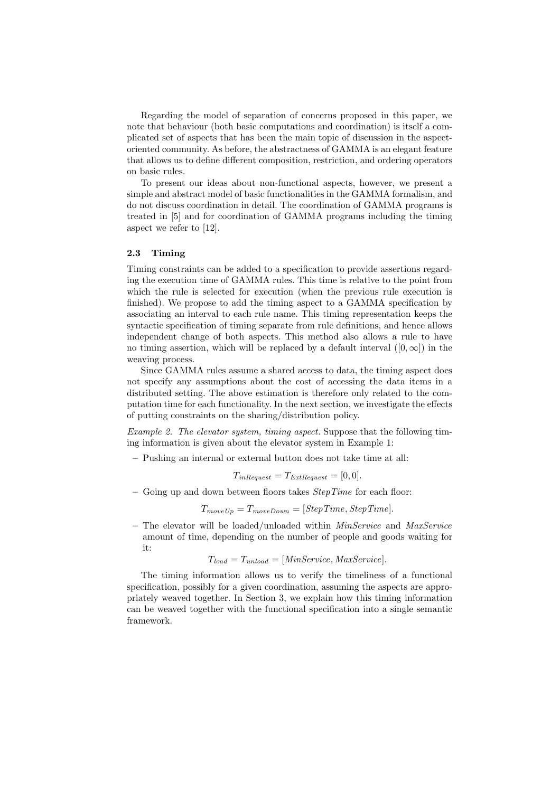Regarding the model of separation of concerns proposed in this paper, we note that behaviour (both basic computations and coordination) is itself a complicated set of aspects that has been the main topic of discussion in the aspectoriented community. As before, the abstractness of GAMMA is an elegant feature that allows us to define different composition, restriction, and ordering operators on basic rules.

To present our ideas about non-functional aspects, however, we present a simple and abstract model of basic functionalities in the GAMMA formalism, and do not discuss coordination in detail. The coordination of GAMMA programs is treated in [5] and for coordination of GAMMA programs including the timing aspect we refer to [12].

### **2.3 Timing**

Timing constraints can be added to a specification to provide assertions regarding the execution time of GAMMA rules. This time is relative to the point from which the rule is selected for execution (when the previous rule execution is finished). We propose to add the timing aspect to a GAMMA specification by associating an interval to each rule name. This timing representation keeps the syntactic specification of timing separate from rule definitions, and hence allows independent change of both aspects. This method also allows a rule to have no timing assertion, which will be replaced by a default interval  $([0, \infty])$  in the weaving process.

Since GAMMA rules assume a shared access to data, the timing aspect does not specify any assumptions about the cost of accessing the data items in a distributed setting. The above estimation is therefore only related to the computation time for each functionality. In the next section, we investigate the effects of putting constraints on the sharing/distribution policy.

*Example 2. The elevator system, timing aspect.* Suppose that the following timing information is given about the elevator system in Example 1:

**–** Pushing an internal or external button does not take time at all:

$$
T_{inRequest} = T_{ExtRequest} = [0, 0].
$$

**–** Going up and down between floors takes *StepTime* for each floor:

 $T_{moveUp} = T_{moveDown} = [StepTime, StepTime].$ 

**–** The elevator will be loaded/unloaded within *MinService* and *MaxService* amount of time, depending on the number of people and goods waiting for it:

 $T_{load} = T_{unload} = [MinService, MaxService].$ 

The timing information allows us to verify the timeliness of a functional specification, possibly for a given coordination, assuming the aspects are appropriately weaved together. In Section 3, we explain how this timing information can be weaved together with the functional specification into a single semantic framework.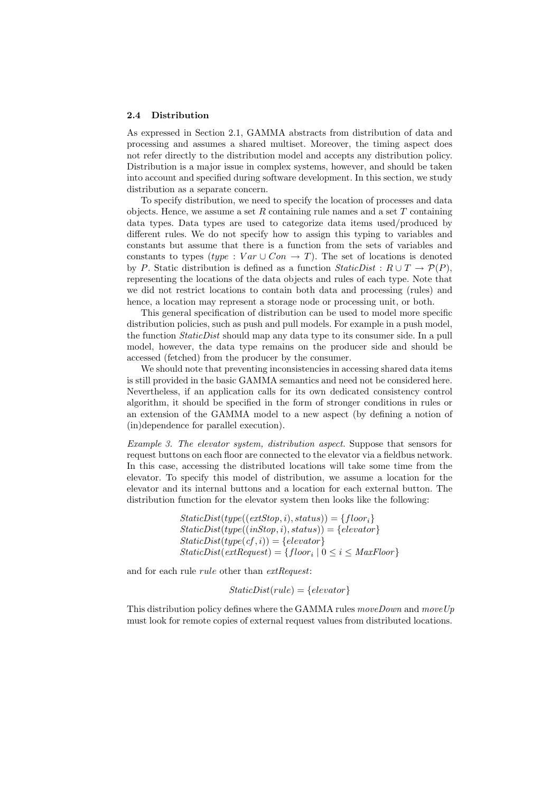#### **2.4 Distribution**

As expressed in Section 2.1, GAMMA abstracts from distribution of data and processing and assumes a shared multiset. Moreover, the timing aspect does not refer directly to the distribution model and accepts any distribution policy. Distribution is a major issue in complex systems, however, and should be taken into account and specified during software development. In this section, we study distribution as a separate concern.

To specify distribution, we need to specify the location of processes and data objects. Hence, we assume a set  $R$  containing rule names and a set  $T$  containing data types. Data types are used to categorize data items used/produced by different rules. We do not specify how to assign this typing to variables and constants but assume that there is a function from the sets of variables and constants to types (type : Var ∪ Con  $\rightarrow$  T). The set of locations is denoted by P. Static distribution is defined as a function  $StaticDist: R \cup T \rightarrow \mathcal{P}(P)$ , representing the locations of the data objects and rules of each type. Note that we did not restrict locations to contain both data and processing (rules) and hence, a location may represent a storage node or processing unit, or both.

This general specification of distribution can be used to model more specific distribution policies, such as push and pull models. For example in a push model, the function *StaticDist* should map any data type to its consumer side. In a pull model, however, the data type remains on the producer side and should be accessed (fetched) from the producer by the consumer.

We should note that preventing inconsistencies in accessing shared data items is still provided in the basic GAMMA semantics and need not be considered here. Nevertheless, if an application calls for its own dedicated consistency control algorithm, it should be specified in the form of stronger conditions in rules or an extension of the GAMMA model to a new aspect (by defining a notion of (in)dependence for parallel execution).

*Example 3. The elevator system, distribution aspect.* Suppose that sensors for request buttons on each floor are connected to the elevator via a fieldbus network. In this case, accessing the distributed locations will take some time from the elevator. To specify this model of distribution, we assume a location for the elevator and its internal buttons and a location for each external button. The distribution function for the elevator system then looks like the following:

> $StaticDist(type((extStop, i), status)) = \{floor_i\}$  $StaticDist(type((inStop, i), status)) = \{elevantor\}$  $StaticDist(type(cf, i)) = \{elevantor\}$  $StaticDist(extRequest) = \{floor_i \mid 0 \leq i \leq MaxFloor\}$

and for each rule rule other than *extRequest*:

 $StaticDist(rule) = \{elevator\}$ 

This distribution policy defines where the GAMMA rules *moveDown* and *moveUp* must look for remote copies of external request values from distributed locations.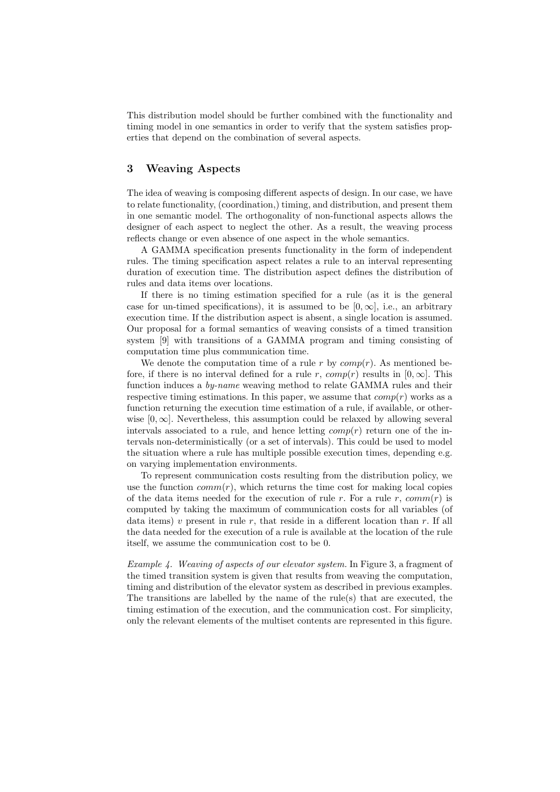This distribution model should be further combined with the functionality and timing model in one semantics in order to verify that the system satisfies properties that depend on the combination of several aspects.

# **3 Weaving Aspects**

The idea of weaving is composing different aspects of design. In our case, we have to relate functionality, (coordination,) timing, and distribution, and present them in one semantic model. The orthogonality of non-functional aspects allows the designer of each aspect to neglect the other. As a result, the weaving process reflects change or even absence of one aspect in the whole semantics.

A GAMMA specification presents functionality in the form of independent rules. The timing specification aspect relates a rule to an interval representing duration of execution time. The distribution aspect defines the distribution of rules and data items over locations.

If there is no timing estimation specified for a rule (as it is the general case for un-timed specifications), it is assumed to be  $[0, \infty]$ , i.e., an arbitrary execution time. If the distribution aspect is absent, a single location is assumed. Our proposal for a formal semantics of weaving consists of a timed transition system [9] with transitions of a GAMMA program and timing consisting of computation time plus communication time.

We denote the computation time of a rule r by  $comp(r)$ . As mentioned before, if there is no interval defined for a rule r,  $comp(r)$  results in  $[0, \infty]$ . This function induces a *by-name* weaving method to relate GAMMA rules and their respective timing estimations. In this paper, we assume that  $comp(r)$  works as a function returning the execution time estimation of a rule, if available, or otherwise  $[0, \infty]$ . Nevertheless, this assumption could be relaxed by allowing several intervals associated to a rule, and hence letting  $comp(r)$  return one of the intervals non-deterministically (or a set of intervals). This could be used to model the situation where a rule has multiple possible execution times, depending e.g. on varying implementation environments.

To represent communication costs resulting from the distribution policy, we use the function  $comm(r)$ , which returns the time cost for making local copies of the data items needed for the execution of rule r. For a rule r,  $comm(r)$  is computed by taking the maximum of communication costs for all variables (of data items) v present in rule r, that reside in a different location than r. If all the data needed for the execution of a rule is available at the location of the rule itself, we assume the communication cost to be 0.

*Example 4. Weaving of aspects of our elevator system.* In Figure 3, a fragment of the timed transition system is given that results from weaving the computation, timing and distribution of the elevator system as described in previous examples. The transitions are labelled by the name of the rule(s) that are executed, the timing estimation of the execution, and the communication cost. For simplicity, only the relevant elements of the multiset contents are represented in this figure.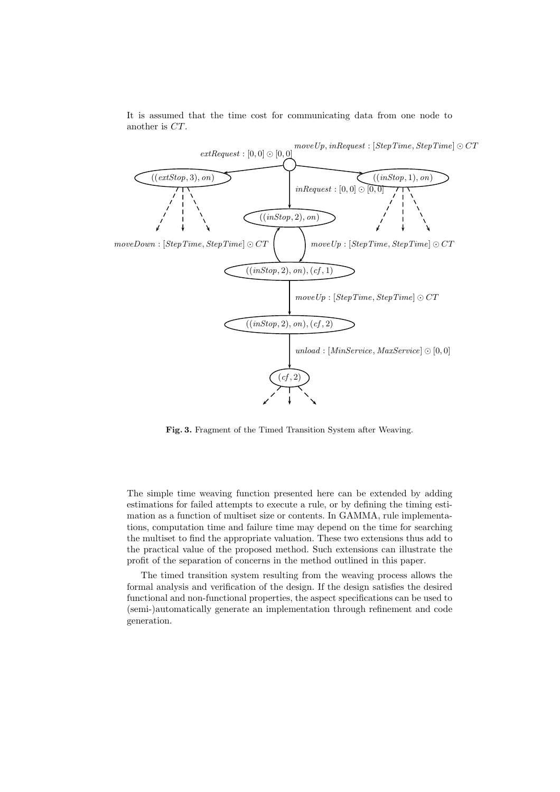It is assumed that the time cost for communicating data from one node to another is CT.



**Fig. 3.** Fragment of the Timed Transition System after Weaving.

The simple time weaving function presented here can be extended by adding estimations for failed attempts to execute a rule, or by defining the timing estimation as a function of multiset size or contents. In GAMMA, rule implementations, computation time and failure time may depend on the time for searching the multiset to find the appropriate valuation. These two extensions thus add to the practical value of the proposed method. Such extensions can illustrate the profit of the separation of concerns in the method outlined in this paper.

The timed transition system resulting from the weaving process allows the formal analysis and verification of the design. If the design satisfies the desired functional and non-functional properties, the aspect specifications can be used to (semi-)automatically generate an implementation through refinement and code generation.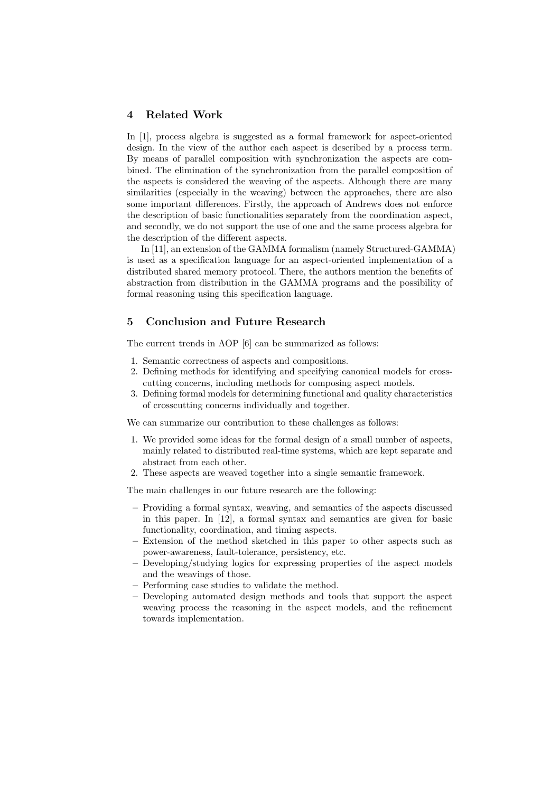# **4 Related Work**

In [1], process algebra is suggested as a formal framework for aspect-oriented design. In the view of the author each aspect is described by a process term. By means of parallel composition with synchronization the aspects are combined. The elimination of the synchronization from the parallel composition of the aspects is considered the weaving of the aspects. Although there are many similarities (especially in the weaving) between the approaches, there are also some important differences. Firstly, the approach of Andrews does not enforce the description of basic functionalities separately from the coordination aspect, and secondly, we do not support the use of one and the same process algebra for the description of the different aspects.

In [11], an extension of the GAMMA formalism (namely Structured-GAMMA) is used as a specification language for an aspect-oriented implementation of a distributed shared memory protocol. There, the authors mention the benefits of abstraction from distribution in the GAMMA programs and the possibility of formal reasoning using this specification language.

### **5 Conclusion and Future Research**

The current trends in AOP [6] can be summarized as follows:

- 1. Semantic correctness of aspects and compositions.
- 2. Defining methods for identifying and specifying canonical models for crosscutting concerns, including methods for composing aspect models.
- 3. Defining formal models for determining functional and quality characteristics of crosscutting concerns individually and together.

We can summarize our contribution to these challenges as follows:

- 1. We provided some ideas for the formal design of a small number of aspects, mainly related to distributed real-time systems, which are kept separate and abstract from each other.
- 2. These aspects are weaved together into a single semantic framework.

The main challenges in our future research are the following:

- **–** Providing a formal syntax, weaving, and semantics of the aspects discussed in this paper. In [12], a formal syntax and semantics are given for basic functionality, coordination, and timing aspects.
- **–** Extension of the method sketched in this paper to other aspects such as power-awareness, fault-tolerance, persistency, etc.
- **–** Developing/studying logics for expressing properties of the aspect models and the weavings of those.
- **–** Performing case studies to validate the method.
- **–** Developing automated design methods and tools that support the aspect weaving process the reasoning in the aspect models, and the refinement towards implementation.